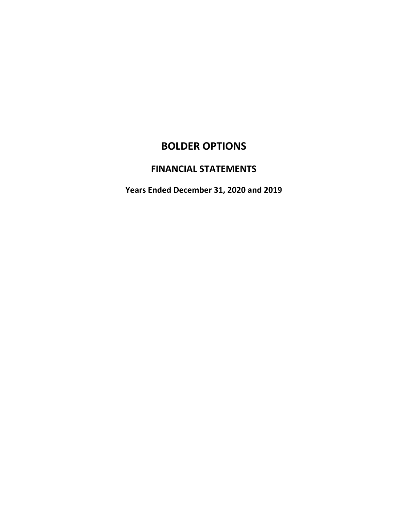# **BOLDER OPTIONS**

## **FINANCIAL STATEMENTS**

**Years Ended December 31, 2020 and 2019**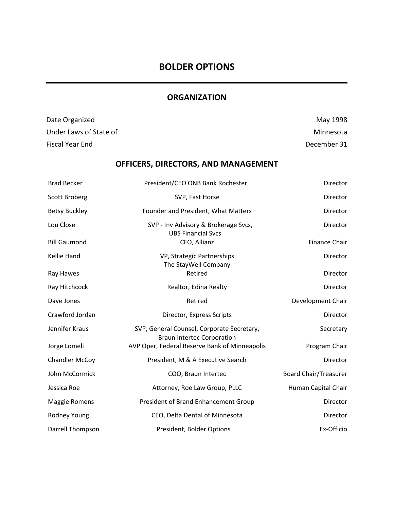## **BOLDER OPTIONS**

## **ORGANIZATION**

| Date Organized         |                                                                                 | May 1998                     |
|------------------------|---------------------------------------------------------------------------------|------------------------------|
| Under Laws of State of |                                                                                 | Minnesota                    |
| <b>Fiscal Year End</b> |                                                                                 | December 31                  |
|                        | OFFICERS, DIRECTORS, AND MANAGEMENT                                             |                              |
| <b>Brad Becker</b>     | President/CEO ONB Bank Rochester                                                | Director                     |
| <b>Scott Broberg</b>   | SVP, Fast Horse                                                                 | Director                     |
| <b>Betsy Buckley</b>   | Founder and President, What Matters                                             | Director                     |
| Lou Close              | SVP - Inv Advisory & Brokerage Svcs,                                            | Director                     |
| <b>Bill Gaumond</b>    | <b>UBS Financial Svcs</b><br>CFO, Allianz                                       | Finance Chair                |
| Kellie Hand            | VP, Strategic Partnerships                                                      | Director                     |
| Ray Hawes              | The StayWell Company<br>Retired                                                 | Director                     |
| Ray Hitchcock          | Realtor, Edina Realty                                                           | Director                     |
| Dave Jones             | Retired                                                                         | Development Chair            |
| Crawford Jordan        | Director, Express Scripts                                                       | Director                     |
| Jennifer Kraus         | SVP, General Counsel, Corporate Secretary,<br><b>Braun Intertec Corporation</b> | Secretary                    |
| Jorge Lomeli           | AVP Oper, Federal Reserve Bank of Minneapolis                                   | Program Chair                |
| <b>Chandler McCoy</b>  | President, M & A Executive Search                                               | Director                     |
| John McCormick         | COO, Braun Intertec                                                             | <b>Board Chair/Treasurer</b> |
| Jessica Roe            | Attorney, Roe Law Group, PLLC                                                   | Human Capital Chair          |
| <b>Maggie Romens</b>   | President of Brand Enhancement Group                                            | Director                     |
| Rodney Young           | CEO, Delta Dental of Minnesota                                                  | Director                     |
| Darrell Thompson       | President, Bolder Options                                                       | Ex-Officio                   |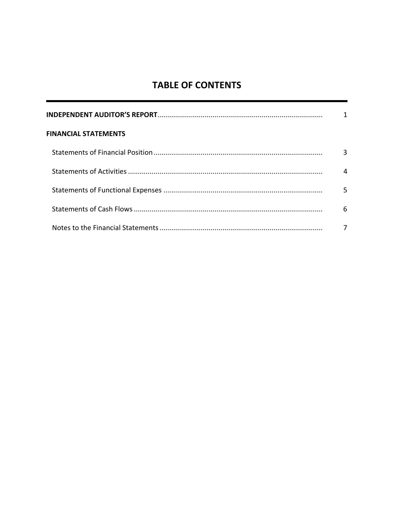## **TABLE OF CONTENTS**

| <b>FINANCIAL STATEMENTS</b> |   |
|-----------------------------|---|
|                             |   |
|                             |   |
|                             |   |
|                             | 6 |
|                             |   |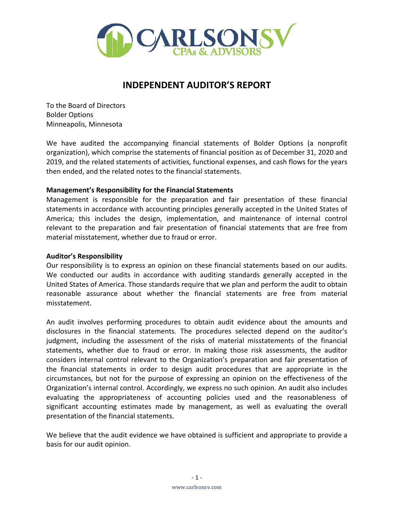

## **INDEPENDENT AUDITOR'S REPORT**

To the Board of Directors Bolder Options Minneapolis, Minnesota

We have audited the accompanying financial statements of Bolder Options (a nonprofit organization), which comprise the statements of financial position as of December 31, 2020 and 2019, and the related statements of activities, functional expenses, and cash flows for the years then ended, and the related notes to the financial statements.

#### **Management's Responsibility for the Financial Statements**

Management is responsible for the preparation and fair presentation of these financial statements in accordance with accounting principles generally accepted in the United States of America; this includes the design, implementation, and maintenance of internal control relevant to the preparation and fair presentation of financial statements that are free from material misstatement, whether due to fraud or error.

#### **Auditor's Responsibility**

Our responsibility is to express an opinion on these financial statements based on our audits. We conducted our audits in accordance with auditing standards generally accepted in the United States of America. Those standards require that we plan and perform the audit to obtain reasonable assurance about whether the financial statements are free from material misstatement.

An audit involves performing procedures to obtain audit evidence about the amounts and disclosures in the financial statements. The procedures selected depend on the auditor's judgment, including the assessment of the risks of material misstatements of the financial statements, whether due to fraud or error. In making those risk assessments, the auditor considers internal control relevant to the Organization's preparation and fair presentation of the financial statements in order to design audit procedures that are appropriate in the circumstances, but not for the purpose of expressing an opinion on the effectiveness of the Organization's internal control. Accordingly, we express no such opinion. An audit also includes evaluating the appropriateness of accounting policies used and the reasonableness of significant accounting estimates made by management, as well as evaluating the overall presentation of the financial statements.

We believe that the audit evidence we have obtained is sufficient and appropriate to provide a basis for our audit opinion.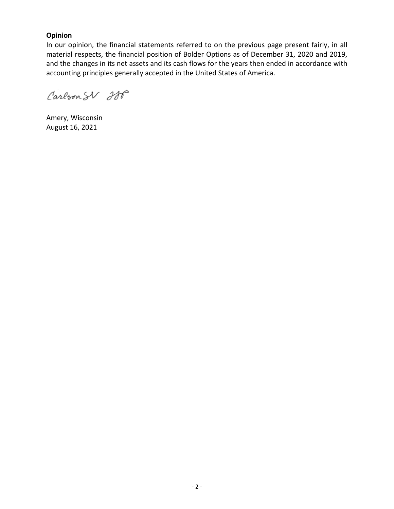#### **Opinion**

In our opinion, the financial statements referred to on the previous page present fairly, in all material respects, the financial position of Bolder Options as of December 31, 2020 and 2019, and the changes in its net assets and its cash flows for the years then ended in accordance with accounting principles generally accepted in the United States of America.

Carlson SV 200

Amery, Wisconsin August 16, 2021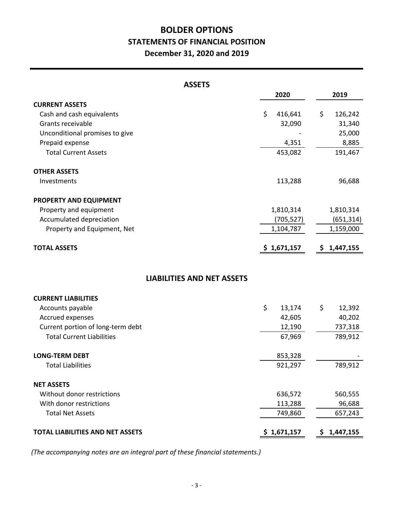## **BOLDER OPTIONS STATEMENTS OF FINANCIAL POSITION December 31, 2020 and 2019**

| <b>ASSETS</b>                     |               |               |
|-----------------------------------|---------------|---------------|
|                                   | 2020          | 2019          |
| <b>CURRENT ASSETS</b>             |               |               |
| Cash and cash equivalents         | \$<br>416,641 | \$<br>126,242 |
| Grants receivable                 | 32,090        | 31,340        |
| Unconditional promises to give    |               | 25,000        |
| Prepaid expense                   | 4,351         | 8,885         |
| <b>Total Current Assets</b>       | 453,082       | 191,467       |
| <b>OTHER ASSETS</b>               |               |               |
| Investments                       | 113,288       | 96,688        |
| PROPERTY AND EQUIPMENT            |               |               |
| Property and equipment            | 1,810,314     | 1,810,314     |
| Accumulated depreciation          | (705, 527)    | (651, 314)    |
| Property and Equipment, Net       | 1,104,787     | 1,159,000     |
| <b>TOTAL ASSETS</b>               | \$1,671,157   | \$1,447,155   |
| <b>LIABILITIES AND NET ASSETS</b> |               |               |
| <b>CURRENT LIABILITIES</b>        |               |               |
| Accounts payable                  | \$<br>13,174  | \$<br>12,392  |
| Accrued expenses                  | 42,605        | 40,202        |
| Current portion of long-term debt | 12,190        | 737,318       |
| <b>Total Current Liabilities</b>  | 67,969        | 789,912       |
| <b>LONG-TERM DEBT</b>             | 853,328       |               |
| <b>Total Liabilities</b>          | 921,297       | 789,912       |

| <b>NET ASSETS</b>                       |             |           |
|-----------------------------------------|-------------|-----------|
| Without donor restrictions              | 636,572     | 560,555   |
| With donor restrictions                 | 113,288     | 96,688    |
| <b>Total Net Assets</b>                 | 749,860     | 657,243   |
| <b>TOTAL LIABILITIES AND NET ASSETS</b> | \$1,671,157 | 1,447,155 |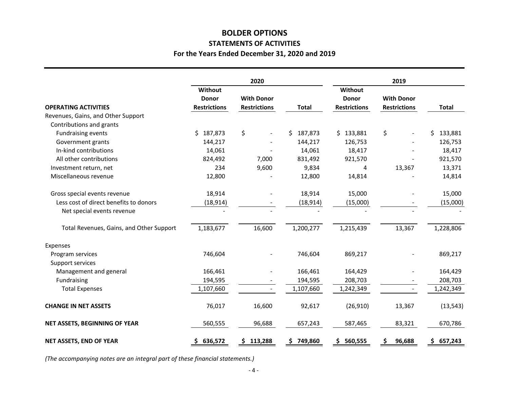## **STATEMENTS OF ACTIVITIES For the Years Ended December 31, 2020 and 2019 BOLDER OPTIONS**

|                                          |                     | 2020                 |                |                     | 2019                |                |
|------------------------------------------|---------------------|----------------------|----------------|---------------------|---------------------|----------------|
|                                          | Without             |                      |                | Without             |                     |                |
|                                          | <b>Donor</b>        | <b>With Donor</b>    |                | <b>Donor</b>        | <b>With Donor</b>   |                |
| <b>OPERATING ACTIVITIES</b>              | <b>Restrictions</b> | <b>Restrictions</b>  | <b>Total</b>   | <b>Restrictions</b> | <b>Restrictions</b> | <b>Total</b>   |
| Revenues, Gains, and Other Support       |                     |                      |                |                     |                     |                |
| Contributions and grants                 |                     |                      |                |                     |                     |                |
| <b>Fundraising events</b>                | 187,873<br>\$.      | \$<br>$\blacksquare$ | 187,873<br>\$  | 133,881<br>S.       | \$                  | 133,881<br>\$  |
| Government grants                        | 144,217             |                      | 144,217        | 126,753             |                     | 126,753        |
| In-kind contributions                    | 14,061              |                      | 14,061         | 18,417              |                     | 18,417         |
| All other contributions                  | 824,492             | 7,000                | 831,492        | 921,570             |                     | 921,570        |
| Investment return, net                   | 234                 | 9,600                | 9,834          | 4                   | 13,367              | 13,371         |
| Miscellaneous revenue                    | 12,800              |                      | 12,800         | 14,814              |                     | 14,814         |
| Gross special events revenue             | 18,914              |                      | 18,914         | 15,000              |                     | 15,000         |
| Less cost of direct benefits to donors   | (18, 914)           |                      | (18, 914)      | (15,000)            |                     | (15,000)       |
| Net special events revenue               |                     |                      |                |                     |                     |                |
| Total Revenues, Gains, and Other Support | 1,183,677           | 16,600               | 1,200,277      | 1,215,439           | 13,367              | 1,228,806      |
| Expenses                                 |                     |                      |                |                     |                     |                |
| Program services                         | 746,604             |                      | 746,604        | 869,217             |                     | 869,217        |
| Support services                         |                     |                      |                |                     |                     |                |
| Management and general                   | 166,461             |                      | 166,461        | 164,429             |                     | 164,429        |
| Fundraising                              | 194,595             |                      | 194,595        | 208,703             |                     | 208,703        |
| <b>Total Expenses</b>                    | 1,107,660           |                      | 1,107,660      | 1,242,349           |                     | 1,242,349      |
| <b>CHANGE IN NET ASSETS</b>              | 76,017              | 16,600               | 92,617         | (26, 910)           | 13,367              | (13, 543)      |
| NET ASSETS, BEGINNING OF YEAR            | 560,555             | 96,688               | 657,243        | 587,465             | 83,321              | 670,786        |
| NET ASSETS, END OF YEAR                  | 636,572<br>S        | \$113,288            | 749,860<br>\$. | 560,555<br>S.       | 96,688<br>\$        | 657,243<br>\$. |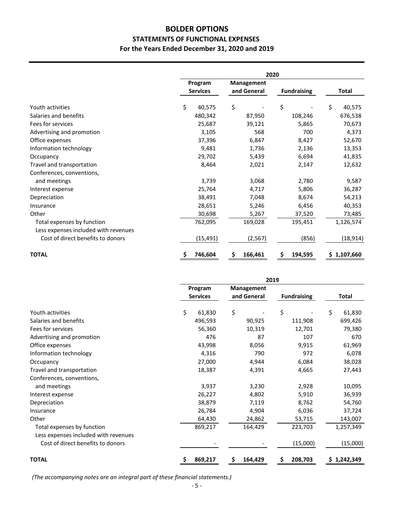### **BOLDER OPTIONS STATEMENTS OF FUNCTIONAL EXPENSES For the Years Ended December 31, 2020 and 2019**

|                                      | 2020            |                   |                    |              |
|--------------------------------------|-----------------|-------------------|--------------------|--------------|
|                                      | Program         | <b>Management</b> |                    |              |
|                                      | <b>Services</b> | and General       | <b>Fundraising</b> | <b>Total</b> |
| Youth activities                     | \$<br>40,575    | \$                | \$                 | \$<br>40,575 |
| Salaries and benefits                | 480,342         | 87,950            | 108,246            | 676,538      |
| Fees for services                    | 25,687          | 39,121            | 5,865              | 70,673       |
| Advertising and promotion            | 3,105           | 568               | 700                | 4,373        |
| Office expenses                      | 37,396          | 6,847             | 8,427              | 52,670       |
| Information technology               | 9,481           | 1,736             | 2,136              | 13,353       |
| Occupancy                            | 29,702          | 5,439             | 6,694              | 41,835       |
| Travel and transportation            | 8,464           | 2,021             | 2,147              | 12,632       |
| Conferences, conventions,            |                 |                   |                    |              |
| and meetings                         | 3,739           | 3,068             | 2,780              | 9,587        |
| Interest expense                     | 25,764          | 4,717             | 5,806              | 36,287       |
| Depreciation                         | 38,491          | 7,048             | 8,674              | 54,213       |
| Insurance                            | 28,651          | 5,246             | 6,456              | 40,353       |
| Other                                | 30,698          | 5,267             | 37,520             | 73,485       |
| Total expenses by function           | 762,095         | 169,028           | 195,451            | 1,126,574    |
| Less expenses included with revenues |                 |                   |                    |              |
| Cost of direct benefits to donors    | (15, 491)       | (2, 567)          | (856)              | (18, 914)    |
| <b>TOTAL</b>                         | \$<br>746,604   | 166,461<br>\$     | \$<br>194,595      | \$1,107,660  |

|                                      | 2019            |                   |                    |              |
|--------------------------------------|-----------------|-------------------|--------------------|--------------|
|                                      | Program         | <b>Management</b> |                    |              |
|                                      | <b>Services</b> | and General       | <b>Fundraising</b> | Total        |
| Youth activities                     | \$<br>61,830    | \$                | \$                 | \$<br>61,830 |
| Salaries and benefits                | 496,593         | 90,925            | 111,908            | 699,426      |
| Fees for services                    | 56,360          | 10,319            | 12,701             | 79,380       |
| Advertising and promotion            | 476             | 87                | 107                | 670          |
| Office expenses                      | 43,998          | 8,056             | 9,915              | 61,969       |
| Information technology               | 4,316           | 790               | 972                | 6,078        |
| Occupancy                            | 27,000          | 4,944             | 6,084              | 38,028       |
| Travel and transportation            | 18,387          | 4,391             | 4,665              | 27,443       |
| Conferences, conventions,            |                 |                   |                    |              |
| and meetings                         | 3,937           | 3,230             | 2,928              | 10,095       |
| Interest expense                     | 26,227          | 4,802             | 5,910              | 36,939       |
| Depreciation                         | 38,879          | 7,119             | 8,762              | 54,760       |
| Insurance                            | 26,784          | 4,904             | 6,036              | 37,724       |
| Other                                | 64,430          | 24,862            | 53,715             | 143,007      |
| Total expenses by function           | 869,217         | 164,429           | 223,703            | 1,257,349    |
| Less expenses included with revenues |                 |                   |                    |              |
| Cost of direct benefits to donors    |                 |                   | (15,000)           | (15,000)     |
| <b>TOTAL</b>                         | \$<br>869,217   | \$<br>164,429     | \$<br>208,703      | \$1,242,349  |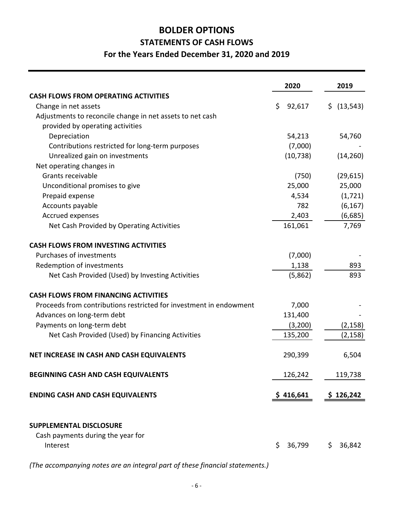# **STATEMENTS OF CASH FLOWS For the Years Ended December 31, 2020 and 2019 BOLDER OPTIONS**

|                                                                     | 2020         | 2019             |
|---------------------------------------------------------------------|--------------|------------------|
| <b>CASH FLOWS FROM OPERATING ACTIVITIES</b>                         |              |                  |
| Change in net assets                                                | \$<br>92,617 | (13, 543)<br>\$. |
| Adjustments to reconcile change in net assets to net cash           |              |                  |
| provided by operating activities                                    |              |                  |
| Depreciation                                                        | 54,213       | 54,760           |
| Contributions restricted for long-term purposes                     | (7,000)      |                  |
| Unrealized gain on investments                                      | (10, 738)    | (14, 260)        |
| Net operating changes in                                            |              |                  |
| Grants receivable                                                   | (750)        | (29, 615)        |
| Unconditional promises to give                                      | 25,000       | 25,000           |
| Prepaid expense                                                     | 4,534        | (1, 721)         |
| Accounts payable                                                    | 782          | (6, 167)         |
| Accrued expenses                                                    | 2,403        | (6,685)          |
| Net Cash Provided by Operating Activities                           | 161,061      | 7,769            |
| <b>CASH FLOWS FROM INVESTING ACTIVITIES</b>                         |              |                  |
| Purchases of investments                                            | (7,000)      |                  |
| Redemption of investments                                           | 1,138        | 893              |
| Net Cash Provided (Used) by Investing Activities                    | (5,862)      | 893              |
| <b>CASH FLOWS FROM FINANCING ACTIVITIES</b>                         |              |                  |
| Proceeds from contributions restricted for investment in endowment  | 7,000        |                  |
| Advances on long-term debt                                          | 131,400      |                  |
| Payments on long-term debt                                          | (3,200)      | (2, 158)         |
| Net Cash Provided (Used) by Financing Activities                    | 135,200      | (2, 158)         |
| NET INCREASE IN CASH AND CASH EQUIVALENTS                           | 290,399      | 6,504            |
| BEGINNING CASH AND CASH EQUIVALENTS                                 | 126,242      | 119,738          |
| <b>ENDING CASH AND CASH EQUIVALENTS</b>                             | \$416,641    | \$126,242        |
| <b>SUPPLEMENTAL DISCLOSURE</b><br>Cash payments during the year for |              |                  |
| Interest                                                            | \$<br>36,799 | 36,842<br>\$.    |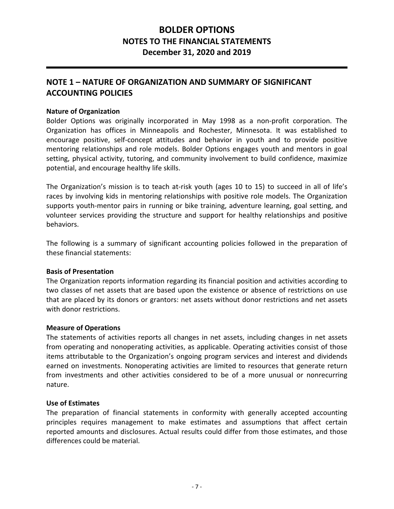## **NOTE 1 – NATURE OF ORGANIZATION AND SUMMARY OF SIGNIFICANT ACCOUNTING POLICIES**

#### **Nature of Organization**

Bolder Options was originally incorporated in May 1998 as a non-profit corporation. The Organization has offices in Minneapolis and Rochester, Minnesota. It was established to encourage positive, self‐concept attitudes and behavior in youth and to provide positive mentoring relationships and role models. Bolder Options engages youth and mentors in goal setting, physical activity, tutoring, and community involvement to build confidence, maximize potential, and encourage healthy life skills.

The Organization's mission is to teach at-risk youth (ages 10 to 15) to succeed in all of life's races by involving kids in mentoring relationships with positive role models. The Organization supports youth‐mentor pairs in running or bike training, adventure learning, goal setting, and volunteer services providing the structure and support for healthy relationships and positive behaviors.

The following is a summary of significant accounting policies followed in the preparation of these financial statements:

#### **Basis of Presentation**

The Organization reports information regarding its financial position and activities according to two classes of net assets that are based upon the existence or absence of restrictions on use that are placed by its donors or grantors: net assets without donor restrictions and net assets with donor restrictions.

#### **Measure of Operations**

The statements of activities reports all changes in net assets, including changes in net assets from operating and nonoperating activities, as applicable. Operating activities consist of those items attributable to the Organization's ongoing program services and interest and dividends earned on investments. Nonoperating activities are limited to resources that generate return from investments and other activities considered to be of a more unusual or nonrecurring nature.

#### **Use of Estimates**

The preparation of financial statements in conformity with generally accepted accounting principles requires management to make estimates and assumptions that affect certain reported amounts and disclosures. Actual results could differ from those estimates, and those differences could be material.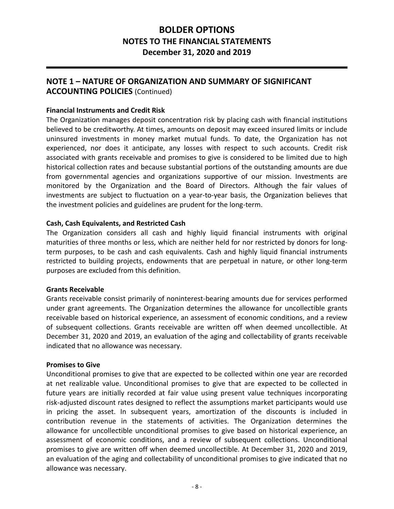#### **NOTE 1 – NATURE OF ORGANIZATION AND SUMMARY OF SIGNIFICANT ACCOUNTING POLICIES** (Continued)

#### **Financial Instruments and Credit Risk**

The Organization manages deposit concentration risk by placing cash with financial institutions believed to be creditworthy. At times, amounts on deposit may exceed insured limits or include uninsured investments in money market mutual funds. To date, the Organization has not experienced, nor does it anticipate, any losses with respect to such accounts. Credit risk associated with grants receivable and promises to give is considered to be limited due to high historical collection rates and because substantial portions of the outstanding amounts are due from governmental agencies and organizations supportive of our mission. Investments are monitored by the Organization and the Board of Directors. Although the fair values of investments are subject to fluctuation on a year-to-year basis, the Organization believes that the investment policies and guidelines are prudent for the long‐term.

#### **Cash, Cash Equivalents, and Restricted Cash**

The Organization considers all cash and highly liquid financial instruments with original maturities of three months or less, which are neither held for nor restricted by donors for long‐ term purposes, to be cash and cash equivalents. Cash and highly liquid financial instruments restricted to building projects, endowments that are perpetual in nature, or other long-term purposes are excluded from this definition.

#### **Grants Receivable**

Grants receivable consist primarily of noninterest‐bearing amounts due for services performed under grant agreements. The Organization determines the allowance for uncollectible grants receivable based on historical experience, an assessment of economic conditions, and a review of subsequent collections. Grants receivable are written off when deemed uncollectible. At December 31, 2020 and 2019, an evaluation of the aging and collectability of grants receivable indicated that no allowance was necessary.

#### **Promises to Give**

Unconditional promises to give that are expected to be collected within one year are recorded at net realizable value. Unconditional promises to give that are expected to be collected in future vears are initially recorded at fair value using present value techniques incorporating risk‐adjusted discount rates designed to reflect the assumptions market participants would use in pricing the asset. In subsequent years, amortization of the discounts is included in contribution revenue in the statements of activities. The Organization determines the allowance for uncollectible unconditional promises to give based on historical experience, an assessment of economic conditions, and a review of subsequent collections. Unconditional promises to give are written off when deemed uncollectible. At December 31, 2020 and 2019, an evaluation of the aging and collectability of unconditional promises to give indicated that no allowance was necessary.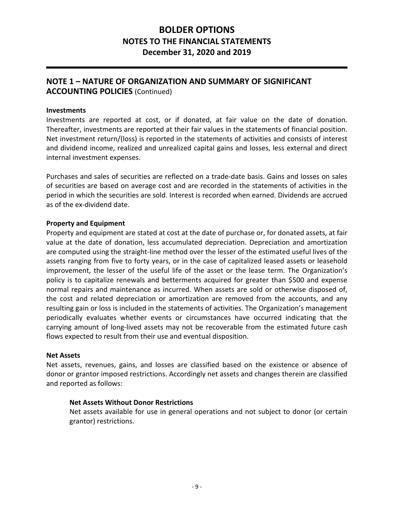### **NOTE 1 – NATURE OF ORGANIZATION AND SUMMARY OF SIGNIFICANT ACCOUNTING POLICIES** (Continued)

#### **Investments**

Investments are reported at cost, or if donated, at fair value on the date of donation. Thereafter, investments are reported at their fair values in the statements of financial position. Net investment return/(loss) is reported in the statements of activities and consists of interest and dividend income, realized and unrealized capital gains and losses, less external and direct internal investment expenses.

Purchases and sales of securities are reflected on a trade‐date basis. Gains and losses on sales of securities are based on average cost and are recorded in the statements of activities in the period in which the securities are sold. Interest is recorded when earned. Dividends are accrued as of the ex‐dividend date.

#### **Property and Equipment**

Property and equipment are stated at cost at the date of purchase or, for donated assets, at fair value at the date of donation, less accumulated depreciation. Depreciation and amortization are computed using the straight‐line method over the lesser of the estimated useful lives of the assets ranging from five to forty years, or in the case of capitalized leased assets or leasehold improvement, the lesser of the useful life of the asset or the lease term. The Organization's policy is to capitalize renewals and betterments acquired for greater than \$500 and expense normal repairs and maintenance as incurred. When assets are sold or otherwise disposed of, the cost and related depreciation or amortization are removed from the accounts, and any resulting gain or loss is included in the statements of activities. The Organization's management periodically evaluates whether events or circumstances have occurred indicating that the carrying amount of long-lived assets may not be recoverable from the estimated future cash flows expected to result from their use and eventual disposition.

#### **Net Assets**

Net assets, revenues, gains, and losses are classified based on the existence or absence of donor or grantor imposed restrictions. Accordingly net assets and changes therein are classified and reported as follows:

#### **Net Assets Without Donor Restrictions**

Net assets available for use in general operations and not subject to donor (or certain grantor) restrictions.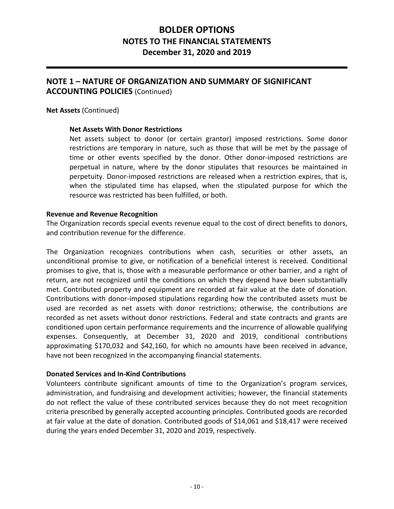### **NOTE 1 – NATURE OF ORGANIZATION AND SUMMARY OF SIGNIFICANT ACCOUNTING POLICIES** (Continued)

**Net Assets** (Continued)

#### **Net Assets With Donor Restrictions**

Net assets subject to donor (or certain grantor) imposed restrictions. Some donor restrictions are temporary in nature, such as those that will be met by the passage of time or other events specified by the donor. Other donor-imposed restrictions are perpetual in nature, where by the donor stipulates that resources be maintained in perpetuity. Donor-imposed restrictions are released when a restriction expires, that is, when the stipulated time has elapsed, when the stipulated purpose for which the resource was restricted has been fulfilled, or both.

#### **Revenue and Revenue Recognition**

The Organization records special events revenue equal to the cost of direct benefits to donors, and contribution revenue for the difference.

The Organization recognizes contributions when cash, securities or other assets, an unconditional promise to give, or notification of a beneficial interest is received. Conditional promises to give, that is, those with a measurable performance or other barrier, and a right of return, are not recognized until the conditions on which they depend have been substantially met. Contributed property and equipment are recorded at fair value at the date of donation. Contributions with donor‐imposed stipulations regarding how the contributed assets must be used are recorded as net assets with donor restrictions; otherwise, the contributions are recorded as net assets without donor restrictions. Federal and state contracts and grants are conditioned upon certain performance requirements and the incurrence of allowable qualifying expenses. Consequently, at December 31, 2020 and 2019, conditional contributions approximating \$170,032 and \$42,160, for which no amounts have been received in advance, have not been recognized in the accompanying financial statements.

#### **Donated Services and In‐Kind Contributions**

Volunteers contribute significant amounts of time to the Organization's program services, administration, and fundraising and development activities; however, the financial statements do not reflect the value of these contributed services because they do not meet recognition criteria prescribed by generally accepted accounting principles. Contributed goods are recorded at fair value at the date of donation. Contributed goods of \$14,061 and \$18,417 were received during the years ended December 31, 2020 and 2019, respectively.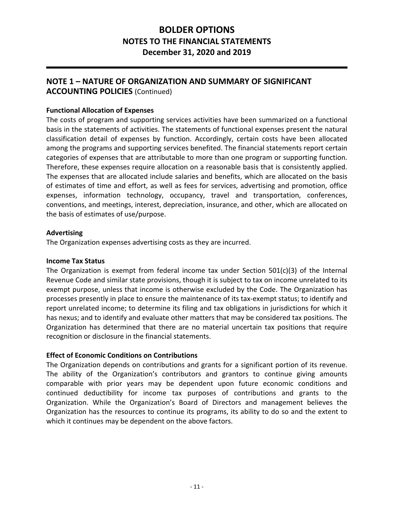### **NOTE 1 – NATURE OF ORGANIZATION AND SUMMARY OF SIGNIFICANT ACCOUNTING POLICIES** (Continued)

#### **Functional Allocation of Expenses**

The costs of program and supporting services activities have been summarized on a functional basis in the statements of activities. The statements of functional expenses present the natural classification detail of expenses by function. Accordingly, certain costs have been allocated among the programs and supporting services benefited. The financial statements report certain categories of expenses that are attributable to more than one program or supporting function. Therefore, these expenses require allocation on a reasonable basis that is consistently applied. The expenses that are allocated include salaries and benefits, which are allocated on the basis of estimates of time and effort, as well as fees for services, advertising and promotion, office expenses, information technology, occupancy, travel and transportation, conferences, conventions, and meetings, interest, depreciation, insurance, and other, which are allocated on the basis of estimates of use/purpose.

#### **Advertising**

The Organization expenses advertising costs as they are incurred.

#### **Income Tax Status**

The Organization is exempt from federal income tax under Section  $501(c)(3)$  of the Internal Revenue Code and similar state provisions, though it is subject to tax on income unrelated to its exempt purpose, unless that income is otherwise excluded by the Code. The Organization has processes presently in place to ensure the maintenance of its tax‐exempt status; to identify and report unrelated income; to determine its filing and tax obligations in jurisdictions for which it has nexus; and to identify and evaluate other matters that may be considered tax positions. The Organization has determined that there are no material uncertain tax positions that require recognition or disclosure in the financial statements.

#### **Effect of Economic Conditions on Contributions**

The Organization depends on contributions and grants for a significant portion of its revenue. The ability of the Organization's contributors and grantors to continue giving amounts comparable with prior years may be dependent upon future economic conditions and continued deductibility for income tax purposes of contributions and grants to the Organization. While the Organization's Board of Directors and management believes the Organization has the resources to continue its programs, its ability to do so and the extent to which it continues may be dependent on the above factors.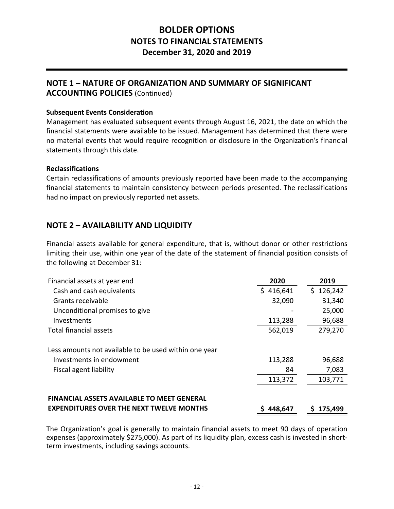#### **NOTE 1 – NATURE OF ORGANIZATION AND SUMMARY OF SIGNIFICANT ACCOUNTING POLICIES** (Continued)

#### **Subsequent Events Consideration**

Management has evaluated subsequent events through August 16, 2021, the date on which the financial statements were available to be issued. Management has determined that there were no material events that would require recognition or disclosure in the Organization's financial statements through this date.

#### **Reclassifications**

Certain reclassifications of amounts previously reported have been made to the accompanying financial statements to maintain consistency between periods presented. The reclassifications had no impact on previously reported net assets.

### **NOTE 2 – AVAILABILITY AND LIQUIDITY**

Financial assets available for general expenditure, that is, without donor or other restrictions limiting their use, within one year of the date of the statement of financial position consists of the following at December 31:

| Financial assets at year end                          | 2020      | 2019          |
|-------------------------------------------------------|-----------|---------------|
| Cash and cash equivalents                             | \$416,641 | 126,242<br>S. |
| Grants receivable                                     | 32,090    | 31,340        |
| Unconditional promises to give                        |           | 25,000        |
| Investments                                           | 113,288   | 96,688        |
| Total financial assets                                | 562,019   | 279,270       |
| Less amounts not available to be used within one year |           |               |
| Investments in endowment                              | 113,288   | 96,688        |
| Fiscal agent liability                                | 84        | 7,083         |
|                                                       | 113,372   | 103,771       |
| <b>FINANCIAL ASSETS AVAILABLE TO MEET GENERAL</b>     |           |               |
| <b>EXPENDITURES OVER THE NEXT TWELVE MONTHS</b>       | 448,647   | 175,499       |

The Organization's goal is generally to maintain financial assets to meet 90 days of operation expenses (approximately \$275,000). As part of its liquidity plan, excess cash is invested in shortterm investments, including savings accounts.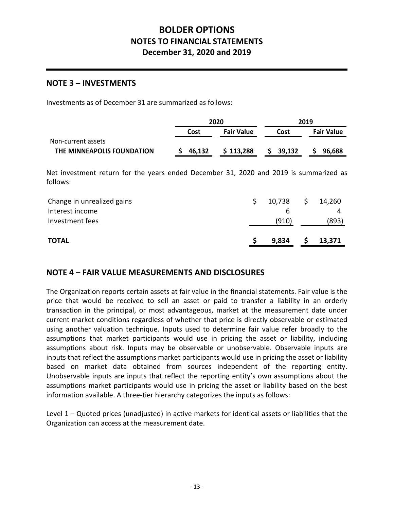#### **NOTE 3 – INVESTMENTS**

Investments as of December 31 are summarized as follows:

|                            | 2020   |                   | 2019   |                   |
|----------------------------|--------|-------------------|--------|-------------------|
|                            | Cost   | <b>Fair Value</b> | Cost   | <b>Fair Value</b> |
| Non-current assets         |        |                   |        |                   |
| THE MINNEAPOLIS FOUNDATION | 46,132 | \$113,288         | 39,132 | 96,688            |

Net investment return for the years ended December 31, 2020 and 2019 is summarized as follows:

| <b>TOTAL</b>               | 9,834  |    | 13,371 |
|----------------------------|--------|----|--------|
| Investment fees            | (910)  |    | (893)  |
| Interest income            |        |    |        |
| Change in unrealized gains | 10,738 | Ş. | 14,260 |

### **NOTE 4 – FAIR VALUE MEASUREMENTS AND DISCLOSURES**

The Organization reports certain assets at fair value in the financial statements. Fair value is the price that would be received to sell an asset or paid to transfer a liability in an orderly transaction in the principal, or most advantageous, market at the measurement date under current market conditions regardless of whether that price is directly observable or estimated using another valuation technique. Inputs used to determine fair value refer broadly to the assumptions that market participants would use in pricing the asset or liability, including assumptions about risk. Inputs may be observable or unobservable. Observable inputs are inputs that reflect the assumptions market participants would use in pricing the asset or liability based on market data obtained from sources independent of the reporting entity. Unobservable inputs are inputs that reflect the reporting entity's own assumptions about the assumptions market participants would use in pricing the asset or liability based on the best information available. A three‐tier hierarchy categorizes the inputs as follows:

Level 1 – Quoted prices (unadjusted) in active markets for identical assets or liabilities that the Organization can access at the measurement date.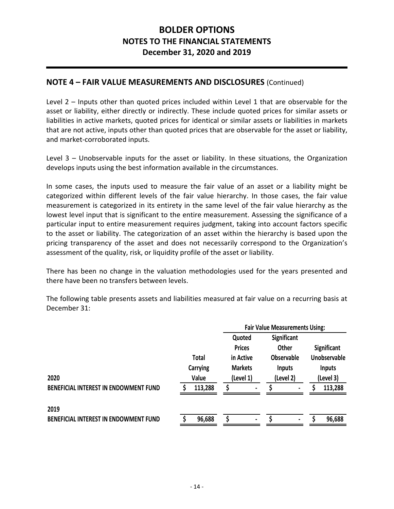### **NOTE 4 – FAIR VALUE MEASUREMENTS AND DISCLOSURES** (Continued)

Level 2 – Inputs other than quoted prices included within Level 1 that are observable for the asset or liability, either directly or indirectly. These include quoted prices for similar assets or liabilities in active markets, quoted prices for identical or similar assets or liabilities in markets that are not active, inputs other than quoted prices that are observable for the asset or liability, and market‐corroborated inputs.

Level 3 – Unobservable inputs for the asset or liability. In these situations, the Organization develops inputs using the best information available in the circumstances.

In some cases, the inputs used to measure the fair value of an asset or a liability might be categorized within different levels of the fair value hierarchy. In those cases, the fair value measurement is categorized in its entirety in the same level of the fair value hierarchy as the lowest level input that is significant to the entire measurement. Assessing the significance of a particular input to entire measurement requires judgment, taking into account factors specific to the asset or liability. The categorization of an asset within the hierarchy is based upon the pricing transparency of the asset and does not necessarily correspond to the Organization's assessment of the quality, risk, or liquidity profile of the asset or liability.

There has been no change in the valuation methodologies used for the years presented and there have been no transfers between levels.

The following table presents assets and liabilities measured at fair value on a recurring basis at December 31:

|                                       |              | <b>Fair Value Measurements Using:</b> |                   |                     |
|---------------------------------------|--------------|---------------------------------------|-------------------|---------------------|
|                                       |              | Quoted                                | Significant       |                     |
|                                       |              | <b>Prices</b>                         | <b>Other</b>      | Significant         |
|                                       | <b>Total</b> | in Active                             | <b>Observable</b> | <b>Unobservable</b> |
|                                       | Carrying     | <b>Markets</b>                        | Inputs            | <b>Inputs</b>       |
| 2020                                  | Value        | (Level 1)                             | (Level 2)         | (Level 3)           |
| BENEFICIAL INTEREST IN ENDOWMENT FUND | 113,288      | ٠                                     | $\blacksquare$    | 113,288             |
| 2019                                  |              |                                       |                   |                     |
| BENEFICIAL INTEREST IN ENDOWMENT FUND | 96,688       | $\blacksquare$                        | $\blacksquare$    | 96,688              |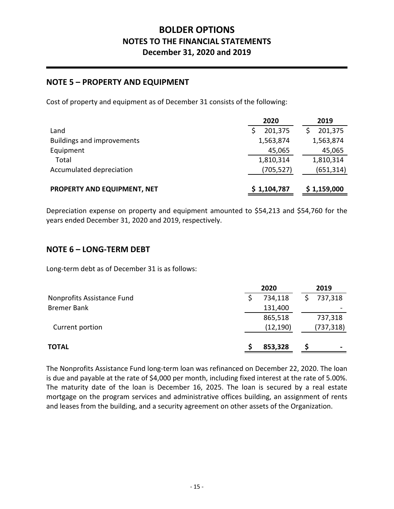## **NOTE 5 – PROPERTY AND EQUIPMENT**

Cost of property and equipment as of December 31 consists of the following:

|                                   | 2020        | 2019        |
|-----------------------------------|-------------|-------------|
| Land                              | 201,375     | 201,375     |
| <b>Buildings and improvements</b> | 1,563,874   | 1,563,874   |
| Equipment                         | 45,065      | 45,065      |
| Total                             | 1,810,314   | 1,810,314   |
| Accumulated depreciation          | (705,527)   | (651, 314)  |
| PROPERTY AND EQUIPMENT, NET       | \$1,104,787 | \$1,159,000 |

Depreciation expense on property and equipment amounted to \$54,213 and \$54,760 for the years ended December 31, 2020 and 2019, respectively.

### **NOTE 6 – LONG‐TERM DEBT**

Long‐term debt as of December 31 is as follows:

|                            | 2020      | 2019       |
|----------------------------|-----------|------------|
| Nonprofits Assistance Fund | 734,118   | 737,318    |
| <b>Bremer Bank</b>         | 131,400   |            |
|                            | 865,518   | 737,318    |
| Current portion            | (12, 190) | (737, 318) |
| <b>TOTAL</b>               | 853,328   | ۰          |

The Nonprofits Assistance Fund long‐term loan was refinanced on December 22, 2020. The loan is due and payable at the rate of \$4,000 per month, including fixed interest at the rate of 5.00%. The maturity date of the loan is December 16, 2025. The loan is secured by a real estate mortgage on the program services and administrative offices building, an assignment of rents and leases from the building, and a security agreement on other assets of the Organization.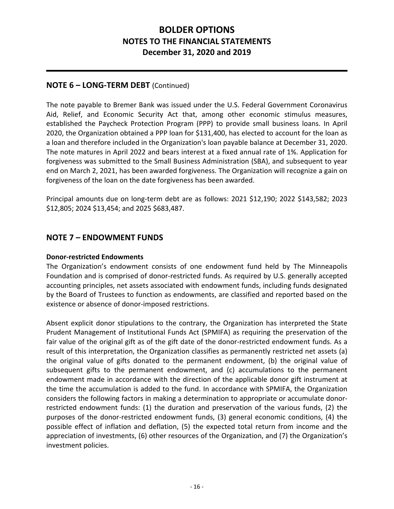### **NOTE 6 – LONG‐TERM DEBT** (Continued)

The note payable to Bremer Bank was issued under the U.S. Federal Government Coronavirus Aid, Relief, and Economic Security Act that, among other economic stimulus measures, established the Paycheck Protection Program (PPP) to provide small business loans. In April 2020, the Organization obtained a PPP loan for \$131,400, has elected to account for the loan as a loan and therefore included in the Organization's loan payable balance at December 31, 2020. The note matures in April 2022 and bears interest at a fixed annual rate of 1%. Application for forgiveness was submitted to the Small Business Administration (SBA), and subsequent to year end on March 2, 2021, has been awarded forgiveness. The Organization will recognize a gain on forgiveness of the loan on the date forgiveness has been awarded.

Principal amounts due on long‐term debt are as follows: 2021 \$12,190; 2022 \$143,582; 2023 \$12,805; 2024 \$13,454; and 2025 \$683,487.

### **NOTE 7 – ENDOWMENT FUNDS**

#### **Donor‐restricted Endowments**

The Organization's endowment consists of one endowment fund held by The Minneapolis Foundation and is comprised of donor‐restricted funds. As required by U.S. generally accepted accounting principles, net assets associated with endowment funds, including funds designated by the Board of Trustees to function as endowments, are classified and reported based on the existence or absence of donor‐imposed restrictions.

Absent explicit donor stipulations to the contrary, the Organization has interpreted the State Prudent Management of Institutional Funds Act (SPMIFA) as requiring the preservation of the fair value of the original gift as of the gift date of the donor-restricted endowment funds. As a result of this interpretation, the Organization classifies as permanently restricted net assets (a) the original value of gifts donated to the permanent endowment, (b) the original value of subsequent gifts to the permanent endowment, and (c) accumulations to the permanent endowment made in accordance with the direction of the applicable donor gift instrument at the time the accumulation is added to the fund. In accordance with SPMIFA, the Organization considers the following factors in making a determination to appropriate or accumulate donor‐ restricted endowment funds: (1) the duration and preservation of the various funds, (2) the purposes of the donor-restricted endowment funds, (3) general economic conditions, (4) the possible effect of inflation and deflation, (5) the expected total return from income and the appreciation of investments, (6) other resources of the Organization, and (7) the Organization's investment policies.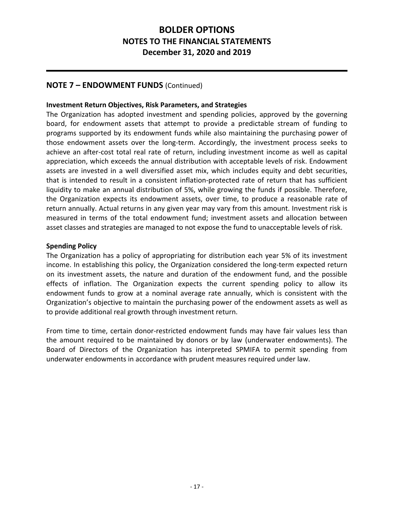### **NOTE 7 – ENDOWMENT FUNDS** (Continued)

#### **Investment Return Objectives, Risk Parameters, and Strategies**

The Organization has adopted investment and spending policies, approved by the governing board, for endowment assets that attempt to provide a predictable stream of funding to programs supported by its endowment funds while also maintaining the purchasing power of those endowment assets over the long‐term. Accordingly, the investment process seeks to achieve an after-cost total real rate of return, including investment income as well as capital appreciation, which exceeds the annual distribution with acceptable levels of risk. Endowment assets are invested in a well diversified asset mix, which includes equity and debt securities, that is intended to result in a consistent inflation‐protected rate of return that has sufficient liquidity to make an annual distribution of 5%, while growing the funds if possible. Therefore, the Organization expects its endowment assets, over time, to produce a reasonable rate of return annually. Actual returns in any given year may vary from this amount. Investment risk is measured in terms of the total endowment fund; investment assets and allocation between asset classes and strategies are managed to not expose the fund to unacceptable levels of risk.

#### **Spending Policy**

The Organization has a policy of appropriating for distribution each year 5% of its investment income. In establishing this policy, the Organization considered the long-term expected return on its investment assets, the nature and duration of the endowment fund, and the possible effects of inflation. The Organization expects the current spending policy to allow its endowment funds to grow at a nominal average rate annually, which is consistent with the Organization's objective to maintain the purchasing power of the endowment assets as well as to provide additional real growth through investment return.

From time to time, certain donor-restricted endowment funds may have fair values less than the amount required to be maintained by donors or by law (underwater endowments). The Board of Directors of the Organization has interpreted SPMIFA to permit spending from underwater endowments in accordance with prudent measures required under law.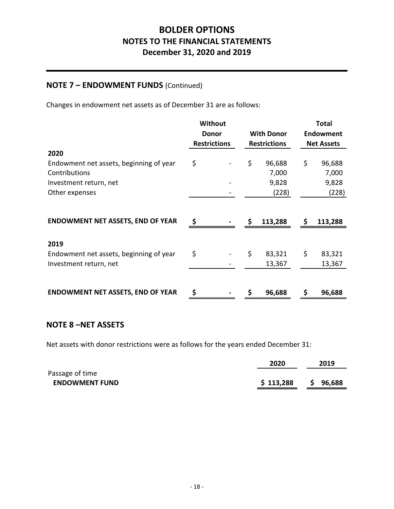### **NOTE 7 – ENDOWMENT FUNDS** (Continued)

Changes in endowment net assets as of December 31 are as follows:

|                                          | <b>Without</b>                    |  |                     |           |                   | <b>Total</b> |
|------------------------------------------|-----------------------------------|--|---------------------|-----------|-------------------|--------------|
|                                          | <b>With Donor</b><br><b>Donor</b> |  |                     | Endowment |                   |              |
|                                          | <b>Restrictions</b>               |  | <b>Restrictions</b> |           | <b>Net Assets</b> |              |
| 2020                                     |                                   |  |                     |           |                   |              |
| Endowment net assets, beginning of year  | \$                                |  | \$                  | 96,688    | \$                | 96,688       |
| Contributions                            |                                   |  |                     | 7,000     |                   | 7,000        |
| Investment return, net                   |                                   |  |                     | 9,828     |                   | 9,828        |
| Other expenses                           |                                   |  |                     | (228)     |                   | (228)        |
| <b>ENDOWMENT NET ASSETS, END OF YEAR</b> | \$                                |  | Ś.                  | 113,288   | S                 | 113,288      |
| 2019                                     |                                   |  |                     |           |                   |              |
| Endowment net assets, beginning of year  | \$                                |  | \$                  | 83,321    | \$                | 83,321       |
| Investment return, net                   |                                   |  |                     | 13,367    |                   | 13,367       |
|                                          |                                   |  |                     |           |                   |              |
| <b>ENDOWMENT NET ASSETS, END OF YEAR</b> | \$                                |  | \$                  | 96,688    | \$                | 96,688       |

### **NOTE 8 –NET ASSETS**

Net assets with donor restrictions were as follows for the years ended December 31:

|                       | 2020      | 2019         |
|-----------------------|-----------|--------------|
| Passage of time       |           |              |
| <b>ENDOWMENT FUND</b> | \$113,288 | 96,688<br>S. |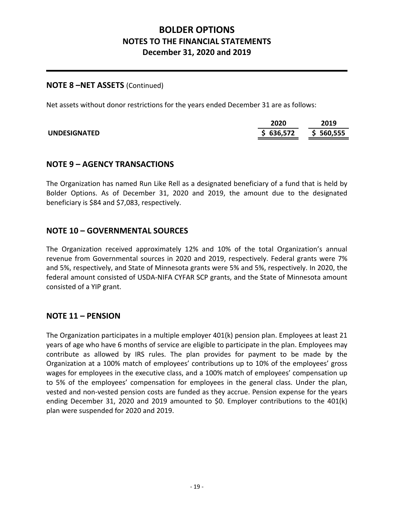#### **NOTE 8 –NET ASSETS** (Continued)

Net assets without donor restrictions for the years ended December 31 are as follows:

|                     | 2020      | 2019      |
|---------------------|-----------|-----------|
| <b>UNDESIGNATED</b> | \$636,572 | \$560,555 |

### **NOTE 9 – AGENCY TRANSACTIONS**

The Organization has named Run Like Rell as a designated beneficiary of a fund that is held by Bolder Options. As of December 31, 2020 and 2019, the amount due to the designated beneficiary is \$84 and \$7,083, respectively.

### **NOTE 10 – GOVERNMENTAL SOURCES**

The Organization received approximately 12% and 10% of the total Organization's annual revenue from Governmental sources in 2020 and 2019, respectively. Federal grants were 7% and 5%, respectively, and State of Minnesota grants were 5% and 5%, respectively. In 2020, the federal amount consisted of USDA‐NIFA CYFAR SCP grants, and the State of Minnesota amount consisted of a YIP grant.

### **NOTE 11 – PENSION**

The Organization participates in a multiple employer 401(k) pension plan. Employees at least 21 years of age who have 6 months of service are eligible to participate in the plan. Employees may contribute as allowed by IRS rules. The plan provides for payment to be made by the Organization at a 100% match of employees' contributions up to 10% of the employees' gross wages for employees in the executive class, and a 100% match of employees' compensation up to 5% of the employees' compensation for employees in the general class. Under the plan, vested and non‐vested pension costs are funded as they accrue. Pension expense for the years ending December 31, 2020 and 2019 amounted to \$0. Employer contributions to the 401(k) plan were suspended for 2020 and 2019.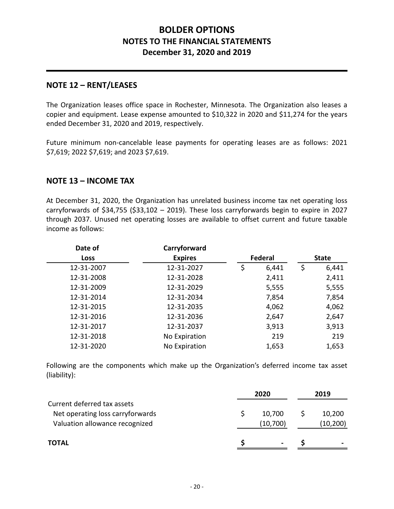### **NOTE 12 – RENT/LEASES**

The Organization leases office space in Rochester, Minnesota. The Organization also leases a copier and equipment. Lease expense amounted to \$10,322 in 2020 and \$11,274 for the years ended December 31, 2020 and 2019, respectively.

Future minimum non-cancelable lease payments for operating leases are as follows: 2021 \$7,619; 2022 \$7,619; and 2023 \$7,619.

### **NOTE 13 – INCOME TAX**

At December 31, 2020, the Organization has unrelated business income tax net operating loss carryforwards of \$34,755 (\$33,102 – 2019). These loss carryforwards begin to expire in 2027 through 2037. Unused net operating losses are available to offset current and future taxable income as follows:

| Carryforward   |             |         |              |
|----------------|-------------|---------|--------------|
| <b>Expires</b> |             |         | <b>State</b> |
| 12-31-2027     | \$<br>6,441 | \$      | 6,441        |
| 12-31-2028     | 2,411       |         | 2,411        |
| 12-31-2029     | 5,555       |         | 5,555        |
| 12-31-2034     | 7,854       |         | 7,854        |
| 12-31-2035     | 4,062       |         | 4,062        |
| 12-31-2036     | 2,647       |         | 2,647        |
| 12-31-2037     | 3,913       |         | 3,913        |
| No Expiration  | 219         |         | 219          |
| No Expiration  | 1,653       |         | 1,653        |
|                |             | Federal |              |

Following are the components which make up the Organization's deferred income tax asset (liability):

|                                                                                                   | 2020 |                    | 2019 |                    |
|---------------------------------------------------------------------------------------------------|------|--------------------|------|--------------------|
| Current deferred tax assets<br>Net operating loss carryforwards<br>Valuation allowance recognized |      | 10,700<br>(10,700) |      | 10,200<br>(10,200) |
| <b>TOTAL</b>                                                                                      |      | $\blacksquare$     |      |                    |